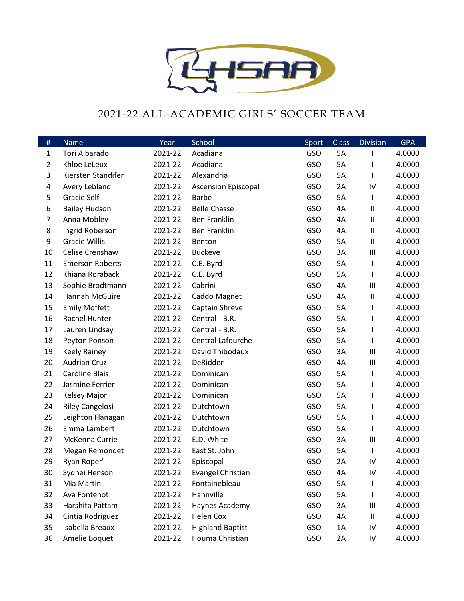

## 2021-22 ALL-ACADEMIC GIRLS' SOCCER TEAM

| #              | <b>Name</b>            | Year    | School                     | Sport      | Class | <b>Division</b>            | <b>GPA</b> |
|----------------|------------------------|---------|----------------------------|------------|-------|----------------------------|------------|
| $\mathbf{1}$   | Tori Albarado          | 2021-22 | Acadiana                   | GSO        | 5A    | ı                          | 4.0000     |
| $\overline{2}$ | Khloe LeLeux           | 2021-22 | Acadiana                   | <b>GSO</b> | 5A    | I                          | 4.0000     |
| 3              | Kiersten Standifer     | 2021-22 | Alexandria                 | <b>GSO</b> | 5A    | L                          | 4.0000     |
| 4              | Avery Leblanc          | 2021-22 | <b>Ascension Episcopal</b> | <b>GSO</b> | 2A    | IV                         | 4.0000     |
| 5              | Gracie Self            | 2021-22 | <b>Barbe</b>               | GSO        | 5A    | L                          | 4.0000     |
| 6              | <b>Bailey Hudson</b>   | 2021-22 | <b>Belle Chasse</b>        | <b>GSO</b> | 4A    | $\ensuremath{\mathsf{II}}$ | 4.0000     |
| $\overline{7}$ | Anna Mobley            | 2021-22 | Ben Franklin               | GSO        | 4A    | $\ensuremath{\mathsf{II}}$ | 4.0000     |
| 8              | Ingrid Roberson        | 2021-22 | <b>Ben Franklin</b>        | <b>GSO</b> | 4A    | $\sf II$                   | 4.0000     |
| 9              | <b>Gracie Willis</b>   | 2021-22 | Benton                     | <b>GSO</b> | 5A    | $\ensuremath{\mathsf{II}}$ | 4.0000     |
| 10             | Celise Crenshaw        | 2021-22 | <b>Buckeye</b>             | <b>GSO</b> | 3A    | Ш                          | 4.0000     |
| 11             | <b>Emerson Roberts</b> | 2021-22 | C.E. Byrd                  | <b>GSO</b> | 5A    | L                          | 4.0000     |
| 12             | Khiana Roraback        | 2021-22 | C.E. Byrd                  | GSO        | 5A    | L                          | 4.0000     |
| 13             | Sophie Brodtmann       | 2021-22 | Cabrini                    | GSO        | 4A    | Ш                          | 4.0000     |
| 14             | Hannah McGuire         | 2021-22 | Caddo Magnet               | <b>GSO</b> | 4A    | $\ensuremath{\mathsf{II}}$ | 4.0000     |
| 15             | <b>Emily Moffett</b>   | 2021-22 | Captain Shreve             | <b>GSO</b> | 5A    | T                          | 4.0000     |
| 16             | Rachel Hunter          | 2021-22 | Central - B.R.             | <b>GSO</b> | 5A    | I                          | 4.0000     |
| 17             | Lauren Lindsay         | 2021-22 | Central - B.R.             | GSO        | 5A    | L                          | 4.0000     |
| 18             | Peyton Ponson          | 2021-22 | Central Lafourche          | GSO        | 5A    | T                          | 4.0000     |
| 19             | Keely Rainey           | 2021-22 | David Thibodaux            | GSO        | 3A    | Ш                          | 4.0000     |
| 20             | <b>Audrian Cruz</b>    | 2021-22 | DeRidder                   | GSO        | 4A    | Ш                          | 4.0000     |
| 21             | <b>Caroline Blais</b>  | 2021-22 | Dominican                  | GSO        | 5A    | L                          | 4.0000     |
| 22             | Jasmine Ferrier        | 2021-22 | Dominican                  | <b>GSO</b> | 5A    | I                          | 4.0000     |
| 23             | Kelsey Major           | 2021-22 | Dominican                  | <b>GSO</b> | 5A    | L                          | 4.0000     |
| 24             | <b>Riley Cangelosi</b> | 2021-22 | Dutchtown                  | <b>GSO</b> | 5A    | I                          | 4.0000     |
| 25             | Leighton Flanagan      | 2021-22 | Dutchtown                  | GSO        | 5A    | L                          | 4.0000     |
| 26             | Emma Lambert           | 2021-22 | Dutchtown                  | <b>GSO</b> | 5A    | T                          | 4.0000     |
| 27             | McKenna Currie         | 2021-22 | E.D. White                 | <b>GSO</b> | 3A    | Ш                          | 4.0000     |
| 28             | Megan Remondet         | 2021-22 | East St. John              | GSO        | 5A    | $\mathsf{I}$               | 4.0000     |
| 29             | Ryan Roper'            | 2021-22 | Episcopal                  | <b>GSO</b> | 2A    | IV                         | 4.0000     |
| 30             | Sydnei Henson          | 2021-22 | <b>Evangel Christian</b>   | GSO        | 4A    | IV                         | 4.0000     |
| 31             | Mia Martin             | 2021-22 | Fontainebleau              | <b>GSO</b> | 5A    | I                          | 4.0000     |
| 32             | Ava Fontenot           | 2021-22 | Hahnville                  | GSO        | 5A    | I                          | 4.0000     |
| 33             | Harshita Pattam        | 2021-22 | Haynes Academy             | <b>GSO</b> | 3A    | Ш                          | 4.0000     |
| 34             | Cintia Rodriguez       | 2021-22 | Helen Cox                  | <b>GSO</b> | 4A    | $\ensuremath{\mathsf{II}}$ | 4.0000     |
| 35             | Isabella Breaux        | 2021-22 | <b>Highland Baptist</b>    | <b>GSO</b> | 1A    | IV                         | 4.0000     |
| 36             | Amelie Boquet          | 2021-22 | Houma Christian            | <b>GSO</b> | 2A    | IV                         | 4.0000     |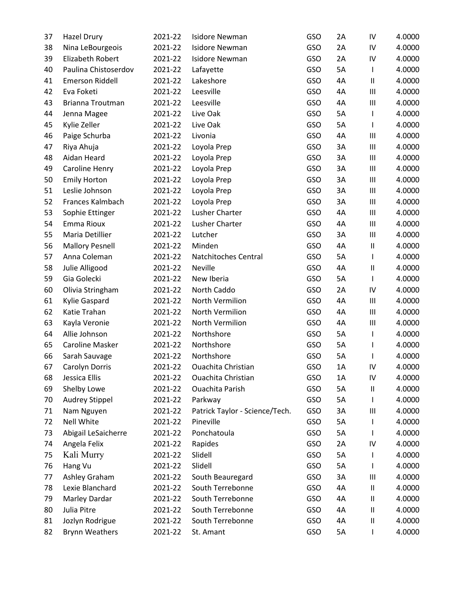| 37 | Hazel Drury             | 2021-22 | <b>Isidore Newman</b>          | GSO        | 2A | IV                         | 4.0000 |
|----|-------------------------|---------|--------------------------------|------------|----|----------------------------|--------|
| 38 | Nina LeBourgeois        | 2021-22 | <b>Isidore Newman</b>          | GSO        | 2A | IV                         | 4.0000 |
| 39 | <b>Elizabeth Robert</b> | 2021-22 | <b>Isidore Newman</b>          | GSO        | 2A | IV                         | 4.0000 |
| 40 | Paulina Chistoserdov    | 2021-22 | Lafayette                      | GSO        | 5A | T                          | 4.0000 |
| 41 | <b>Emerson Riddell</b>  | 2021-22 | Lakeshore                      | GSO        | 4A | $\ensuremath{\mathsf{II}}$ | 4.0000 |
| 42 | Eva Foketi              | 2021-22 | Leesville                      | GSO        | 4A | Ш                          | 4.0000 |
| 43 | <b>Brianna Troutman</b> | 2021-22 | Leesville                      | GSO        | 4A | Ш                          | 4.0000 |
| 44 | Jenna Magee             | 2021-22 | Live Oak                       | GSO        | 5A | I                          | 4.0000 |
| 45 | Kylie Zeller            | 2021-22 | Live Oak                       | GSO        | 5A | T                          | 4.0000 |
| 46 | Paige Schurba           | 2021-22 | Livonia                        | GSO        | 4A | Ш                          | 4.0000 |
| 47 | Riya Ahuja              | 2021-22 | Loyola Prep                    | GSO        | 3A | Ш                          | 4.0000 |
| 48 | Aidan Heard             | 2021-22 | Loyola Prep                    | GSO        | 3A | Ш                          | 4.0000 |
| 49 | Caroline Henry          | 2021-22 | Loyola Prep                    | GSO        | 3A | Ш                          | 4.0000 |
| 50 | <b>Emily Horton</b>     | 2021-22 | Loyola Prep                    | GSO        | 3A | Ш                          | 4.0000 |
| 51 | Leslie Johnson          | 2021-22 | Loyola Prep                    | GSO        | 3A | Ш                          | 4.0000 |
| 52 | Frances Kalmbach        | 2021-22 | Loyola Prep                    | GSO        | 3A | Ш                          | 4.0000 |
| 53 | Sophie Ettinger         | 2021-22 | Lusher Charter                 | GSO        | 4A | Ш                          | 4.0000 |
| 54 | Emma Rioux              | 2021-22 | Lusher Charter                 | <b>GSO</b> | 4A | Ш                          | 4.0000 |
| 55 | Maria Detillier         | 2021-22 | Lutcher                        | GSO        | 3A | Ш                          | 4.0000 |
| 56 | <b>Mallory Pesnell</b>  | 2021-22 | Minden                         | GSO        | 4A | $\mathbf{II}$              | 4.0000 |
| 57 | Anna Coleman            | 2021-22 | Natchitoches Central           | GSO        | 5A | T                          | 4.0000 |
| 58 | Julie Alligood          | 2021-22 | Neville                        | GSO        | 4A | $\sf II$                   | 4.0000 |
| 59 | Gia Golecki             | 2021-22 | New Iberia                     | GSO        | 5A | $\mathbf{I}$               | 4.0000 |
| 60 | Olivia Stringham        | 2021-22 | North Caddo                    | GSO        | 2A | IV                         | 4.0000 |
| 61 | Kylie Gaspard           | 2021-22 | North Vermilion                | GSO        | 4A | Ш                          | 4.0000 |
| 62 | Katie Trahan            | 2021-22 | North Vermilion                | GSO        | 4A | Ш                          | 4.0000 |
| 63 | Kayla Veronie           | 2021-22 | North Vermilion                | GSO        | 4A | Ш                          | 4.0000 |
| 64 | Allie Johnson           | 2021-22 | Northshore                     | GSO        | 5A | $\mathsf{I}$               | 4.0000 |
| 65 | <b>Caroline Masker</b>  | 2021-22 | Northshore                     | GSO        | 5A | I                          | 4.0000 |
| 66 | Sarah Sauvage           | 2021-22 | Northshore                     | GSO        | 5A | T                          | 4.0000 |
| 67 | Carolyn Dorris          | 2021-22 | <b>Ouachita Christian</b>      | <b>GSO</b> | 1A | IV                         | 4.0000 |
| 68 | Jessica Ellis           | 2021-22 | Ouachita Christian             | <b>GSO</b> | 1A | IV                         | 4.0000 |
| 69 | Shelby Lowe             | 2021-22 | <b>Ouachita Parish</b>         | GSO        | 5A | $\ensuremath{\mathsf{II}}$ | 4.0000 |
| 70 | Audrey Stippel          | 2021-22 | Parkway                        | GSO        | 5A | T                          | 4.0000 |
| 71 | Nam Nguyen              | 2021-22 | Patrick Taylor - Science/Tech. | GSO        | 3A | Ш                          | 4.0000 |
| 72 | Nell White              | 2021-22 | Pineville                      | GSO        | 5A |                            | 4.0000 |
| 73 | Abigail LeSaicherre     | 2021-22 | Ponchatoula                    | GSO        | 5A |                            | 4.0000 |
| 74 | Angela Felix            | 2021-22 | Rapides                        | GSO        | 2A | IV                         | 4.0000 |
| 75 | Kali Murry              | 2021-22 | Slidell                        | GSO        | 5A |                            | 4.0000 |
| 76 | Hang Vu                 | 2021-22 | Slidell                        | GSO        | 5A | L                          | 4.0000 |
| 77 | Ashley Graham           | 2021-22 | South Beauregard               | GSO        | 3A | Ш                          | 4.0000 |
| 78 | Lexie Blanchard         | 2021-22 | South Terrebonne               | GSO        | 4A | Ш                          | 4.0000 |
| 79 | Marley Dardar           | 2021-22 | South Terrebonne               | GSO        | 4A | $\mathbf{II}$              | 4.0000 |
| 80 | Julia Pitre             | 2021-22 | South Terrebonne               | GSO        | 4A | $\ensuremath{\mathsf{II}}$ | 4.0000 |
| 81 | Jozlyn Rodrigue         | 2021-22 | South Terrebonne               | GSO        | 4A | Ш                          | 4.0000 |
| 82 | <b>Brynn Weathers</b>   | 2021-22 | St. Amant                      | GSO        | 5A | I                          | 4.0000 |
|    |                         |         |                                |            |    |                            |        |